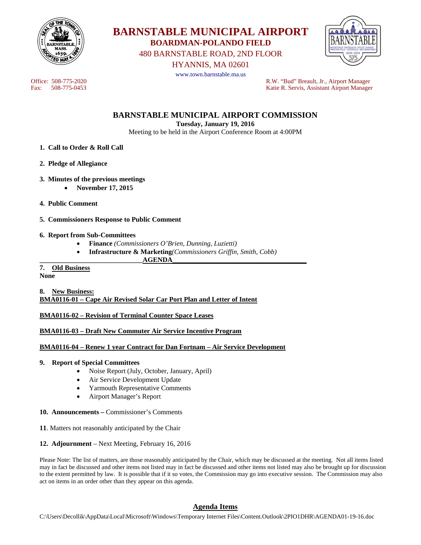



480 BARNSTABLE ROAD, 2ND FLOOR

HYANNIS, MA 02601



www.town.barnstable.ma.us

Office: 508-775-2020<br>
Fax: 508-775-0453<br>
Fax: 508-775-0453<br>
R.W. "Bud" Breault, Jr., Airport Manager Katie R. Servis, Assistant Airport Manager

**BARNSTABLE MUNICIPAL AIRPORT COMMISSION** 

**Tuesday, January 19, 2016** 

Meeting to be held in the Airport Conference Room at 4:00PM

- **1. Call to Order & Roll Call**
- **2. Pledge of Allegiance**
- **3. Minutes of the previous meetings** 
	- **November 17, 2015**
- **4. Public Comment**
- **5. Commissioners Response to Public Comment**

### **6. Report from Sub-Committees**

- **Finance** *(Commissioners O'Brien, Dunning, Luzietti)*
- **Infrastructure & Marketing***(Commissioners Griffin, Smith, Cobb)*

#### **\_\_\_\_\_\_\_\_\_\_\_\_\_\_\_\_\_\_\_\_\_\_\_\_\_\_\_\_\_\_AGENDA\_\_\_\_\_\_\_\_\_\_\_\_\_\_\_\_\_\_\_\_\_\_\_\_\_\_\_\_\_\_\_\_\_\_\_\_\_\_\_ 7. Old Business**

**None** 

**8. New Business: BMA0116-01 – Cape Air Revised Solar Car Port Plan and Letter of Intent** 

### **BMA0116-02 – Revision of Terminal Counter Space Leases**

### **BMA0116-03 – Draft New Commuter Air Service Incentive Program**

## **BMA0116-04 – Renew 1 year Contract for Dan Fortnam – Air Service Development**

### **9. Report of Special Committees**

- Noise Report (July, October, January, April)
- Air Service Development Update
- Yarmouth Representative Comments
- Airport Manager's Report
- **10. Announcements** Commissioner's Comments
- **11**. Matters not reasonably anticipated by the Chair
- **12. Adjournment** Next Meeting, February 16, 2016

Please Note: The list of matters, are those reasonably anticipated by the Chair, which may be discussed at the meeting. Not all items listed may in fact be discussed and other items not listed may in fact be discussed and other items not listed may also be brought up for discussion to the extent permitted by law. It is possible that if it so votes, the Commission may go into executive session. The Commission may also act on items in an order other than they appear on this agenda.

## **Agenda Items**

C:\Users\Decollik\AppData\Local\Microsoft\Windows\Temporary Internet Files\Content.Outlook\2PIO1DHR\AGENDA01-19-16.doc